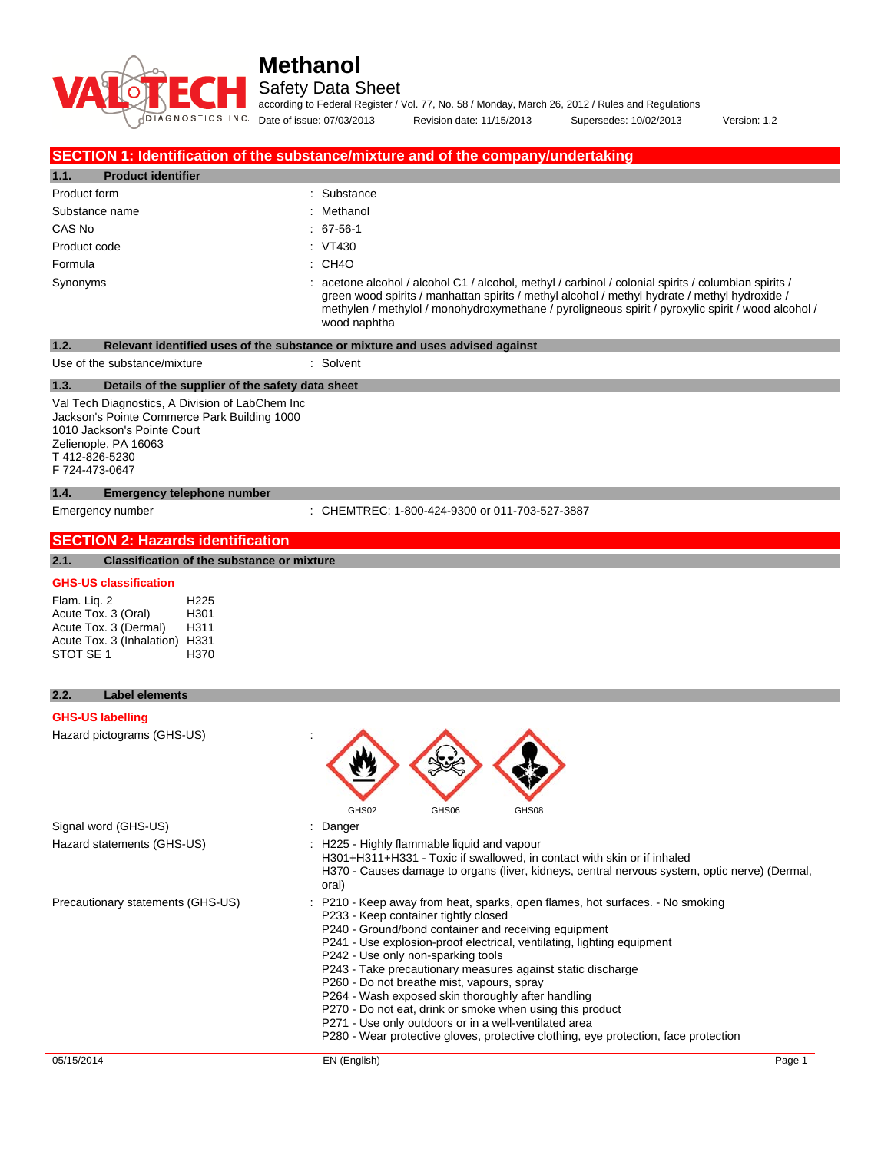# **DIAGNOSTICS INC.**

# **Methanol**

Safety Data Sheet

according to Federal Register / Vol. 77, No. 58 / Monday, March 26, 2012 / Rules and Regulations

Date of issue: 07/03/2013 Revision date: 11/15/2013 Supersedes: 10/02/2013 Version: 1.2

## **SECTION 1: Identification of the substance/mixture and of the company/undertaking**

| 1.1.<br><b>Product identifier</b> |                                                                                                                                                                                                                                                                                                                             |
|-----------------------------------|-----------------------------------------------------------------------------------------------------------------------------------------------------------------------------------------------------------------------------------------------------------------------------------------------------------------------------|
| Product form                      | : Substance                                                                                                                                                                                                                                                                                                                 |
| Substance name                    | : Methanol                                                                                                                                                                                                                                                                                                                  |
| CAS No                            | $: 67-56-1$                                                                                                                                                                                                                                                                                                                 |
| Product code                      | : VT430                                                                                                                                                                                                                                                                                                                     |
| Formula                           | $:$ CH4O                                                                                                                                                                                                                                                                                                                    |
| Synonyms                          | : acetone alcohol / alcohol C1 / alcohol, methyl / carbinol / colonial spirits / columbian spirits /<br>green wood spirits / manhattan spirits / methyl alcohol / methyl hydrate / methyl hydroxide /<br>methylen / methylol / monohydroxymethane / pyroligneous spirit / pyroxylic spirit / wood alcohol /<br>wood naphtha |

| 1.2.                                                                                                                                                                                      | Relevant identified uses of the substance or mixture and uses advised against                                                                                                                                                                                                                                                                                                                                                                                    |
|-------------------------------------------------------------------------------------------------------------------------------------------------------------------------------------------|------------------------------------------------------------------------------------------------------------------------------------------------------------------------------------------------------------------------------------------------------------------------------------------------------------------------------------------------------------------------------------------------------------------------------------------------------------------|
| Use of the substance/mixture                                                                                                                                                              | : Solvent                                                                                                                                                                                                                                                                                                                                                                                                                                                        |
| 1.3.<br>Details of the supplier of the safety data sheet                                                                                                                                  |                                                                                                                                                                                                                                                                                                                                                                                                                                                                  |
| Val Tech Diagnostics, A Division of LabChem Inc<br>Jackson's Pointe Commerce Park Building 1000<br>1010 Jackson's Pointe Court<br>Zelienople, PA 16063<br>T412-826-5230<br>F 724-473-0647 |                                                                                                                                                                                                                                                                                                                                                                                                                                                                  |
| <b>Emergency telephone number</b><br>1.4.                                                                                                                                                 |                                                                                                                                                                                                                                                                                                                                                                                                                                                                  |
| Emergency number                                                                                                                                                                          | : CHEMTREC: 1-800-424-9300 or 011-703-527-3887                                                                                                                                                                                                                                                                                                                                                                                                                   |
| <b>SECTION 2: Hazards identification</b>                                                                                                                                                  |                                                                                                                                                                                                                                                                                                                                                                                                                                                                  |
| Classification of the substance or mixture<br>2.1.                                                                                                                                        |                                                                                                                                                                                                                                                                                                                                                                                                                                                                  |
| <b>GHS-US classification</b>                                                                                                                                                              |                                                                                                                                                                                                                                                                                                                                                                                                                                                                  |
| Flam. Lig. 2<br>H <sub>225</sub><br>Acute Tox. 3 (Oral)<br>H301<br>Acute Tox. 3 (Dermal)<br>H311<br>Acute Tox. 3 (Inhalation) H331<br>STOT SE 1<br>H370                                   |                                                                                                                                                                                                                                                                                                                                                                                                                                                                  |
| 2.2.<br><b>Label elements</b>                                                                                                                                                             |                                                                                                                                                                                                                                                                                                                                                                                                                                                                  |
| <b>GHS-US labelling</b>                                                                                                                                                                   |                                                                                                                                                                                                                                                                                                                                                                                                                                                                  |
| Hazard pictograms (GHS-US)                                                                                                                                                                | GHS06<br>GHS02<br>GHS08                                                                                                                                                                                                                                                                                                                                                                                                                                          |
| Signal word (GHS-US)                                                                                                                                                                      | : Danger                                                                                                                                                                                                                                                                                                                                                                                                                                                         |
| Hazard statements (GHS-US)                                                                                                                                                                | : H225 - Highly flammable liquid and vapour<br>H301+H311+H331 - Toxic if swallowed, in contact with skin or if inhaled<br>H370 - Causes damage to organs (liver, kidneys, central nervous system, optic nerve) (Dermal,<br>oral)                                                                                                                                                                                                                                 |
| Precautionary statements (GHS-US)                                                                                                                                                         | : P210 - Keep away from heat, sparks, open flames, hot surfaces. - No smoking<br>P233 - Keep container tightly closed<br>P240 - Ground/bond container and receiving equipment<br>P241 - Use explosion-proof electrical, ventilating, lighting equipment<br>P242 - Use only non-sparking tools<br>P243 - Take precautionary measures against static discharge<br>P260 - Do not breathe mist, vapours, spray<br>P264 - Wash exposed skin thoroughly after handling |

- P270 Do not eat, drink or smoke when using this product
- P271 Use only outdoors or in a well-ventilated area
- P280 Wear protective gloves, protective clothing, eye protection, face protection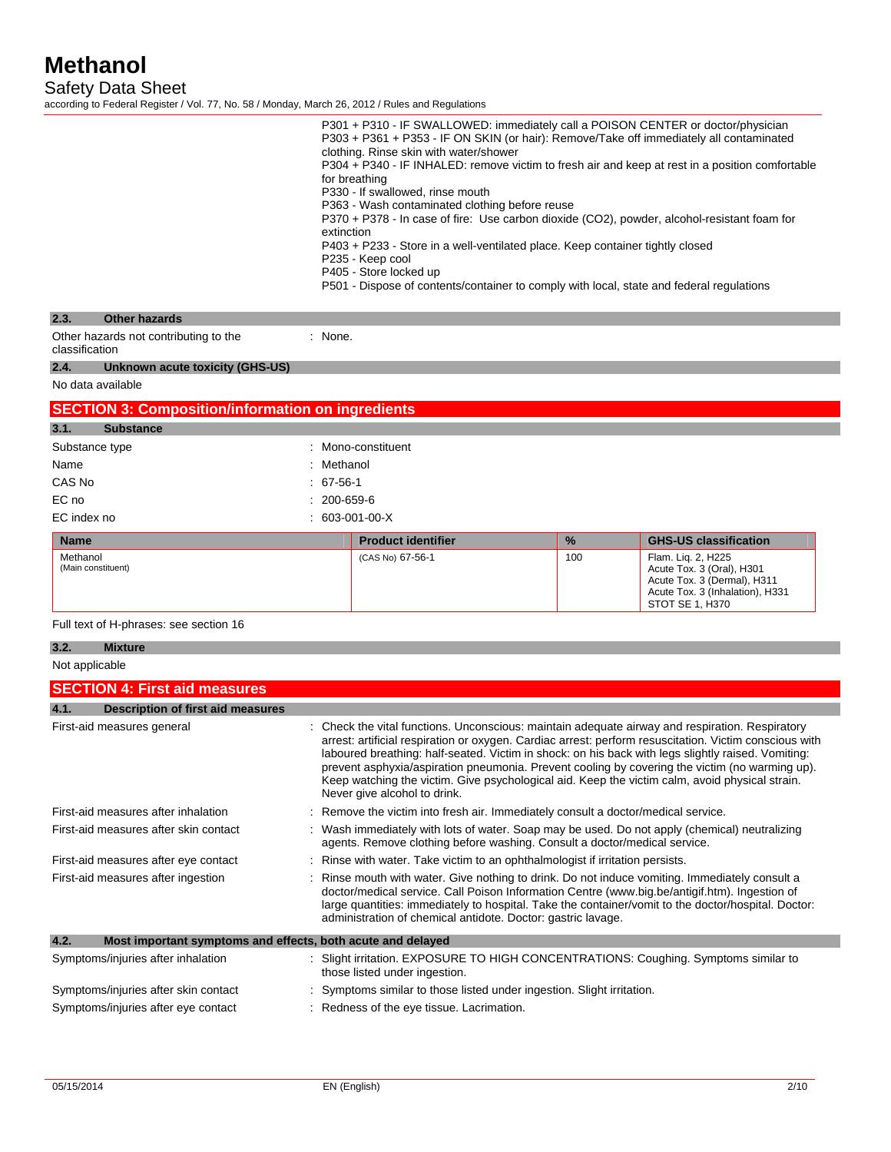Safety Data Sheet

according to Federal Register / Vol. 77, No. 58 / Monday, March 26, 2012 / Rules and Regulations

|                                                                     | extinction                                                                                                                                                                                                                                                                                                                                                                                                                                                                                                                                          | P301 + P310 - IF SWALLOWED: immediately call a POISON CENTER or doctor/physician<br>P303 + P361 + P353 - IF ON SKIN (or hair): Remove/Take off immediately all contaminated<br>clothing. Rinse skin with water/shower<br>for breathing<br>P330 - If swallowed, rinse mouth<br>P363 - Wash contaminated clothing before reuse<br>P370 + P378 - In case of fire: Use carbon dioxide (CO2), powder, alcohol-resistant foam for<br>P403 + P233 - Store in a well-ventilated place. Keep container tightly closed<br>P235 - Keep cool<br>P405 - Store locked up<br>P501 - Dispose of contents/container to comply with local, state and federal regulations |          | P304 + P340 - IF INHALED: remove victim to fresh air and keep at rest in a position comfortable                                                                                                                                                                                                      |
|---------------------------------------------------------------------|-----------------------------------------------------------------------------------------------------------------------------------------------------------------------------------------------------------------------------------------------------------------------------------------------------------------------------------------------------------------------------------------------------------------------------------------------------------------------------------------------------------------------------------------------------|--------------------------------------------------------------------------------------------------------------------------------------------------------------------------------------------------------------------------------------------------------------------------------------------------------------------------------------------------------------------------------------------------------------------------------------------------------------------------------------------------------------------------------------------------------------------------------------------------------------------------------------------------------|----------|------------------------------------------------------------------------------------------------------------------------------------------------------------------------------------------------------------------------------------------------------------------------------------------------------|
| 2.3.<br><b>Other hazards</b>                                        |                                                                                                                                                                                                                                                                                                                                                                                                                                                                                                                                                     |                                                                                                                                                                                                                                                                                                                                                                                                                                                                                                                                                                                                                                                        |          |                                                                                                                                                                                                                                                                                                      |
| Other hazards not contributing to the<br>classification             | : None.                                                                                                                                                                                                                                                                                                                                                                                                                                                                                                                                             |                                                                                                                                                                                                                                                                                                                                                                                                                                                                                                                                                                                                                                                        |          |                                                                                                                                                                                                                                                                                                      |
| 2.4.<br>Unknown acute toxicity (GHS-US)                             |                                                                                                                                                                                                                                                                                                                                                                                                                                                                                                                                                     |                                                                                                                                                                                                                                                                                                                                                                                                                                                                                                                                                                                                                                                        |          |                                                                                                                                                                                                                                                                                                      |
| No data available                                                   |                                                                                                                                                                                                                                                                                                                                                                                                                                                                                                                                                     |                                                                                                                                                                                                                                                                                                                                                                                                                                                                                                                                                                                                                                                        |          |                                                                                                                                                                                                                                                                                                      |
| <b>SECTION 3: Composition/information on ingredients</b>            |                                                                                                                                                                                                                                                                                                                                                                                                                                                                                                                                                     |                                                                                                                                                                                                                                                                                                                                                                                                                                                                                                                                                                                                                                                        |          |                                                                                                                                                                                                                                                                                                      |
| 3.1.<br><b>Substance</b>                                            |                                                                                                                                                                                                                                                                                                                                                                                                                                                                                                                                                     |                                                                                                                                                                                                                                                                                                                                                                                                                                                                                                                                                                                                                                                        |          |                                                                                                                                                                                                                                                                                                      |
| Substance type                                                      |                                                                                                                                                                                                                                                                                                                                                                                                                                                                                                                                                     | : Mono-constituent                                                                                                                                                                                                                                                                                                                                                                                                                                                                                                                                                                                                                                     |          |                                                                                                                                                                                                                                                                                                      |
| Name                                                                | : Methanol                                                                                                                                                                                                                                                                                                                                                                                                                                                                                                                                          |                                                                                                                                                                                                                                                                                                                                                                                                                                                                                                                                                                                                                                                        |          |                                                                                                                                                                                                                                                                                                      |
| CAS No                                                              | 67-56-1                                                                                                                                                                                                                                                                                                                                                                                                                                                                                                                                             |                                                                                                                                                                                                                                                                                                                                                                                                                                                                                                                                                                                                                                                        |          |                                                                                                                                                                                                                                                                                                      |
| EC no<br>EC index no                                                |                                                                                                                                                                                                                                                                                                                                                                                                                                                                                                                                                     | 200-659-6<br>$: 603-001-00-X$                                                                                                                                                                                                                                                                                                                                                                                                                                                                                                                                                                                                                          |          |                                                                                                                                                                                                                                                                                                      |
|                                                                     |                                                                                                                                                                                                                                                                                                                                                                                                                                                                                                                                                     |                                                                                                                                                                                                                                                                                                                                                                                                                                                                                                                                                                                                                                                        |          |                                                                                                                                                                                                                                                                                                      |
| <b>Name</b><br>Methanol                                             |                                                                                                                                                                                                                                                                                                                                                                                                                                                                                                                                                     | <b>Product identifier</b><br>(CAS No) 67-56-1                                                                                                                                                                                                                                                                                                                                                                                                                                                                                                                                                                                                          | %<br>100 | <b>GHS-US classification</b><br>Flam. Lig. 2, H225                                                                                                                                                                                                                                                   |
| (Main constituent)                                                  |                                                                                                                                                                                                                                                                                                                                                                                                                                                                                                                                                     |                                                                                                                                                                                                                                                                                                                                                                                                                                                                                                                                                                                                                                                        |          | Acute Tox. 3 (Oral), H301<br>Acute Tox. 3 (Dermal), H311<br>Acute Tox. 3 (Inhalation), H331<br>STOT SE 1, H370                                                                                                                                                                                       |
| Full text of H-phrases: see section 16                              |                                                                                                                                                                                                                                                                                                                                                                                                                                                                                                                                                     |                                                                                                                                                                                                                                                                                                                                                                                                                                                                                                                                                                                                                                                        |          |                                                                                                                                                                                                                                                                                                      |
| 3.2.<br><b>Mixture</b>                                              |                                                                                                                                                                                                                                                                                                                                                                                                                                                                                                                                                     |                                                                                                                                                                                                                                                                                                                                                                                                                                                                                                                                                                                                                                                        |          |                                                                                                                                                                                                                                                                                                      |
| Not applicable                                                      |                                                                                                                                                                                                                                                                                                                                                                                                                                                                                                                                                     |                                                                                                                                                                                                                                                                                                                                                                                                                                                                                                                                                                                                                                                        |          |                                                                                                                                                                                                                                                                                                      |
| <b>SECTION 4: First aid measures</b>                                |                                                                                                                                                                                                                                                                                                                                                                                                                                                                                                                                                     |                                                                                                                                                                                                                                                                                                                                                                                                                                                                                                                                                                                                                                                        |          |                                                                                                                                                                                                                                                                                                      |
| 4.1.<br><b>Description of first aid measures</b>                    |                                                                                                                                                                                                                                                                                                                                                                                                                                                                                                                                                     |                                                                                                                                                                                                                                                                                                                                                                                                                                                                                                                                                                                                                                                        |          |                                                                                                                                                                                                                                                                                                      |
| First-aid measures general                                          | : Check the vital functions. Unconscious: maintain adequate airway and respiration. Respiratory<br>arrest: artificial respiration or oxygen. Cardiac arrest: perform resuscitation. Victim conscious with<br>laboured breathing: half-seated. Victim in shock: on his back with legs slightly raised. Vomiting:<br>prevent asphyxia/aspiration pneumonia. Prevent cooling by covering the victim (no warming up).<br>Keep watching the victim. Give psychological aid. Keep the victim calm, avoid physical strain.<br>Never give alcohol to drink. |                                                                                                                                                                                                                                                                                                                                                                                                                                                                                                                                                                                                                                                        |          |                                                                                                                                                                                                                                                                                                      |
| First-aid measures after inhalation                                 |                                                                                                                                                                                                                                                                                                                                                                                                                                                                                                                                                     | Remove the victim into fresh air. Immediately consult a doctor/medical service.                                                                                                                                                                                                                                                                                                                                                                                                                                                                                                                                                                        |          |                                                                                                                                                                                                                                                                                                      |
| First-aid measures after skin contact                               |                                                                                                                                                                                                                                                                                                                                                                                                                                                                                                                                                     | agents. Remove clothing before washing. Consult a doctor/medical service.                                                                                                                                                                                                                                                                                                                                                                                                                                                                                                                                                                              |          | Wash immediately with lots of water. Soap may be used. Do not apply (chemical) neutralizing                                                                                                                                                                                                          |
| First-aid measures after eye contact                                |                                                                                                                                                                                                                                                                                                                                                                                                                                                                                                                                                     | Rinse with water. Take victim to an ophthalmologist if irritation persists.                                                                                                                                                                                                                                                                                                                                                                                                                                                                                                                                                                            |          |                                                                                                                                                                                                                                                                                                      |
| First-aid measures after ingestion                                  |                                                                                                                                                                                                                                                                                                                                                                                                                                                                                                                                                     | administration of chemical antidote. Doctor: gastric lavage.                                                                                                                                                                                                                                                                                                                                                                                                                                                                                                                                                                                           |          | Rinse mouth with water. Give nothing to drink. Do not induce vomiting. Immediately consult a<br>doctor/medical service. Call Poison Information Centre (www.big.be/antigif.htm). Ingestion of<br>large quantities: immediately to hospital. Take the container/vomit to the doctor/hospital. Doctor: |
| 4.2.<br>Most important symptoms and effects, both acute and delayed |                                                                                                                                                                                                                                                                                                                                                                                                                                                                                                                                                     |                                                                                                                                                                                                                                                                                                                                                                                                                                                                                                                                                                                                                                                        |          |                                                                                                                                                                                                                                                                                                      |
| Symptoms/injuries after inhalation                                  |                                                                                                                                                                                                                                                                                                                                                                                                                                                                                                                                                     | those listed under ingestion.                                                                                                                                                                                                                                                                                                                                                                                                                                                                                                                                                                                                                          |          | : Slight irritation. EXPOSURE TO HIGH CONCENTRATIONS: Coughing. Symptoms similar to                                                                                                                                                                                                                  |
| Symptoms/injuries after skin contact                                |                                                                                                                                                                                                                                                                                                                                                                                                                                                                                                                                                     | Symptoms similar to those listed under ingestion. Slight irritation.                                                                                                                                                                                                                                                                                                                                                                                                                                                                                                                                                                                   |          |                                                                                                                                                                                                                                                                                                      |
| Symptoms/injuries after eye contact                                 |                                                                                                                                                                                                                                                                                                                                                                                                                                                                                                                                                     | : Redness of the eye tissue. Lacrimation.                                                                                                                                                                                                                                                                                                                                                                                                                                                                                                                                                                                                              |          |                                                                                                                                                                                                                                                                                                      |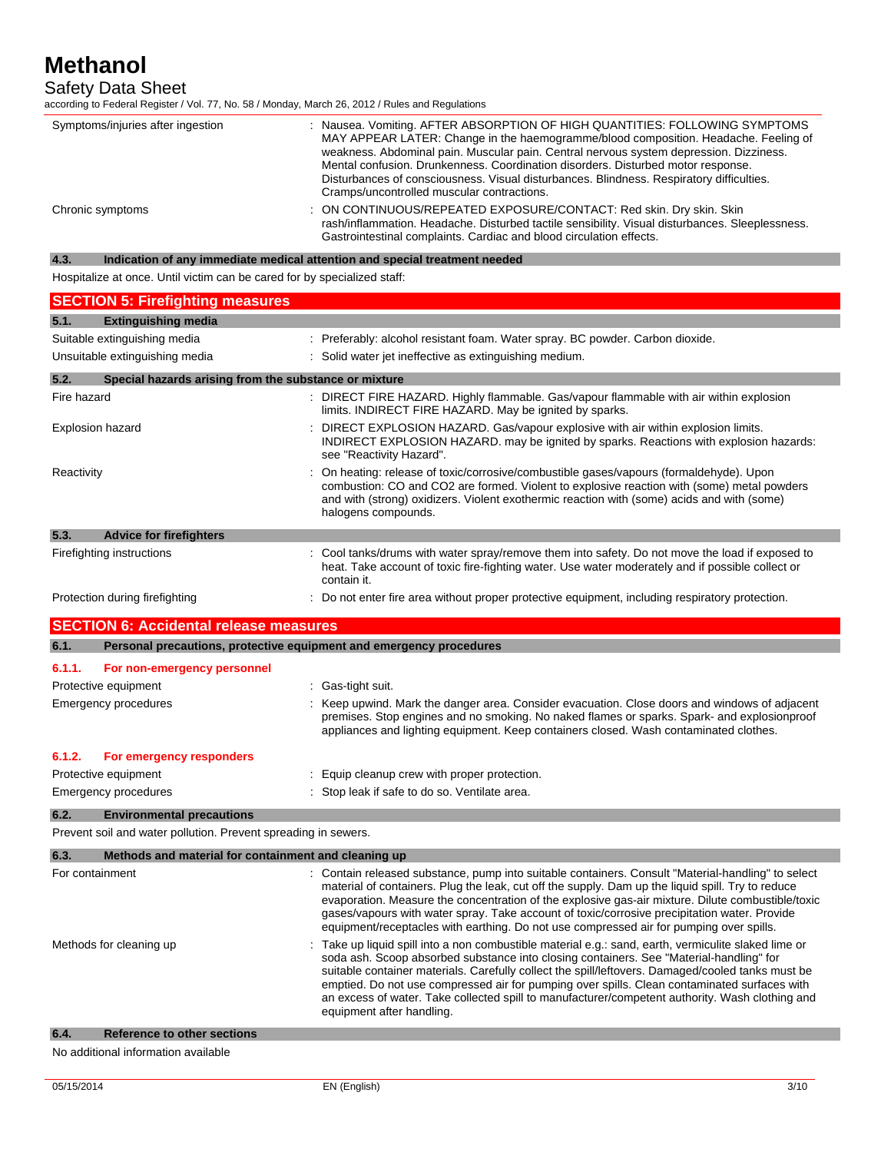Safety Data Sheet

according to Federal Register / Vol. 77, No. 58 / Monday, March 26, 2012 / Rules and Regulations

| Symptoms/injuries after ingestion | : Nausea. Vomiting. AFTER ABSORPTION OF HIGH QUANTITIES: FOLLOWING SYMPTOMS<br>MAY APPEAR LATER: Change in the haemogramme/blood composition. Headache. Feeling of<br>weakness. Abdominal pain. Muscular pain. Central nervous system depression. Dizziness.<br>Mental confusion. Drunkenness. Coordination disorders. Disturbed motor response.<br>Disturbances of consciousness. Visual disturbances. Blindness. Respiratory difficulties.<br>Cramps/uncontrolled muscular contractions. |
|-----------------------------------|--------------------------------------------------------------------------------------------------------------------------------------------------------------------------------------------------------------------------------------------------------------------------------------------------------------------------------------------------------------------------------------------------------------------------------------------------------------------------------------------|
| Chronic symptoms                  | : ON CONTINUOUS/REPEATED EXPOSURE/CONTACT: Red skin. Dry skin. Skin<br>rash/inflammation. Headache. Disturbed tactile sensibility. Visual disturbances. Sleeplessness.<br>Gastrointestinal complaints. Cardiac and blood circulation effects.                                                                                                                                                                                                                                              |

## **4.3. Indication of any immediate medical attention and special treatment needed**

Hospitalize at once. Until victim can be cared for by specialized staff:

| <b>SECTION 5: Firefighting measures</b>                                     |                                                                                                                                                                                                                                                                                                                                                                                                                                                                                                                                    |  |  |
|-----------------------------------------------------------------------------|------------------------------------------------------------------------------------------------------------------------------------------------------------------------------------------------------------------------------------------------------------------------------------------------------------------------------------------------------------------------------------------------------------------------------------------------------------------------------------------------------------------------------------|--|--|
| <b>Extinguishing media</b><br>5.1.                                          |                                                                                                                                                                                                                                                                                                                                                                                                                                                                                                                                    |  |  |
| Suitable extinguishing media                                                | : Preferably: alcohol resistant foam. Water spray. BC powder. Carbon dioxide.                                                                                                                                                                                                                                                                                                                                                                                                                                                      |  |  |
| Unsuitable extinguishing media                                              | : Solid water jet ineffective as extinguishing medium.                                                                                                                                                                                                                                                                                                                                                                                                                                                                             |  |  |
| 5.2.<br>Special hazards arising from the substance or mixture               |                                                                                                                                                                                                                                                                                                                                                                                                                                                                                                                                    |  |  |
| Fire hazard                                                                 | : DIRECT FIRE HAZARD. Highly flammable. Gas/vapour flammable with air within explosion<br>limits. INDIRECT FIRE HAZARD. May be ignited by sparks.                                                                                                                                                                                                                                                                                                                                                                                  |  |  |
| <b>Explosion hazard</b>                                                     | DIRECT EXPLOSION HAZARD. Gas/vapour explosive with air within explosion limits.<br>INDIRECT EXPLOSION HAZARD, may be ignited by sparks. Reactions with explosion hazards:<br>see "Reactivity Hazard".                                                                                                                                                                                                                                                                                                                              |  |  |
| Reactivity                                                                  | On heating: release of toxic/corrosive/combustible gases/vapours (formaldehyde). Upon<br>combustion: CO and CO2 are formed. Violent to explosive reaction with (some) metal powders<br>and with (strong) oxidizers. Violent exothermic reaction with (some) acids and with (some)<br>halogens compounds.                                                                                                                                                                                                                           |  |  |
| 5.3.<br><b>Advice for firefighters</b>                                      |                                                                                                                                                                                                                                                                                                                                                                                                                                                                                                                                    |  |  |
| Firefighting instructions                                                   | Cool tanks/drums with water spray/remove them into safety. Do not move the load if exposed to<br>heat. Take account of toxic fire-fighting water. Use water moderately and if possible collect or<br>contain it.                                                                                                                                                                                                                                                                                                                   |  |  |
| Protection during firefighting                                              | Do not enter fire area without proper protective equipment, including respiratory protection.                                                                                                                                                                                                                                                                                                                                                                                                                                      |  |  |
| <b>SECTION 6: Accidental release measures</b>                               |                                                                                                                                                                                                                                                                                                                                                                                                                                                                                                                                    |  |  |
| Personal precautions, protective equipment and emergency procedures<br>6.1. |                                                                                                                                                                                                                                                                                                                                                                                                                                                                                                                                    |  |  |
| 6.1.1.<br>For non-emergency personnel                                       |                                                                                                                                                                                                                                                                                                                                                                                                                                                                                                                                    |  |  |
| Protective equipment                                                        | : Gas-tight suit.                                                                                                                                                                                                                                                                                                                                                                                                                                                                                                                  |  |  |
| <b>Emergency procedures</b>                                                 | : Keep upwind. Mark the danger area. Consider evacuation. Close doors and windows of adjacent<br>premises. Stop engines and no smoking. No naked flames or sparks. Spark- and explosionproof<br>appliances and lighting equipment. Keep containers closed. Wash contaminated clothes.                                                                                                                                                                                                                                              |  |  |
| 6.1.2.<br>For emergency responders                                          |                                                                                                                                                                                                                                                                                                                                                                                                                                                                                                                                    |  |  |
| Protective equipment                                                        | Equip cleanup crew with proper protection.                                                                                                                                                                                                                                                                                                                                                                                                                                                                                         |  |  |
| Emergency procedures                                                        | : Stop leak if safe to do so. Ventilate area.                                                                                                                                                                                                                                                                                                                                                                                                                                                                                      |  |  |
| <b>Environmental precautions</b><br>6.2.                                    |                                                                                                                                                                                                                                                                                                                                                                                                                                                                                                                                    |  |  |
| Prevent soil and water pollution. Prevent spreading in sewers.              |                                                                                                                                                                                                                                                                                                                                                                                                                                                                                                                                    |  |  |
| 6.3.<br>Methods and material for containment and cleaning up                |                                                                                                                                                                                                                                                                                                                                                                                                                                                                                                                                    |  |  |
| For containment                                                             | Contain released substance, pump into suitable containers. Consult "Material-handling" to select<br>material of containers. Plug the leak, cut off the supply. Dam up the liquid spill. Try to reduce<br>evaporation. Measure the concentration of the explosive gas-air mixture. Dilute combustible/toxic<br>gases/vapours with water spray. Take account of toxic/corrosive precipitation water. Provide<br>equipment/receptacles with earthing. Do not use compressed air for pumping over spills.                              |  |  |
| Methods for cleaning up                                                     | Take up liquid spill into a non combustible material e.g.: sand, earth, vermiculite slaked lime or<br>soda ash. Scoop absorbed substance into closing containers. See "Material-handling" for<br>suitable container materials. Carefully collect the spill/leftovers. Damaged/cooled tanks must be<br>emptied. Do not use compressed air for pumping over spills. Clean contaminated surfaces with<br>an excess of water. Take collected spill to manufacturer/competent authority. Wash clothing and<br>equipment after handling. |  |  |

## **6.4. Reference to other sections**

No additional information available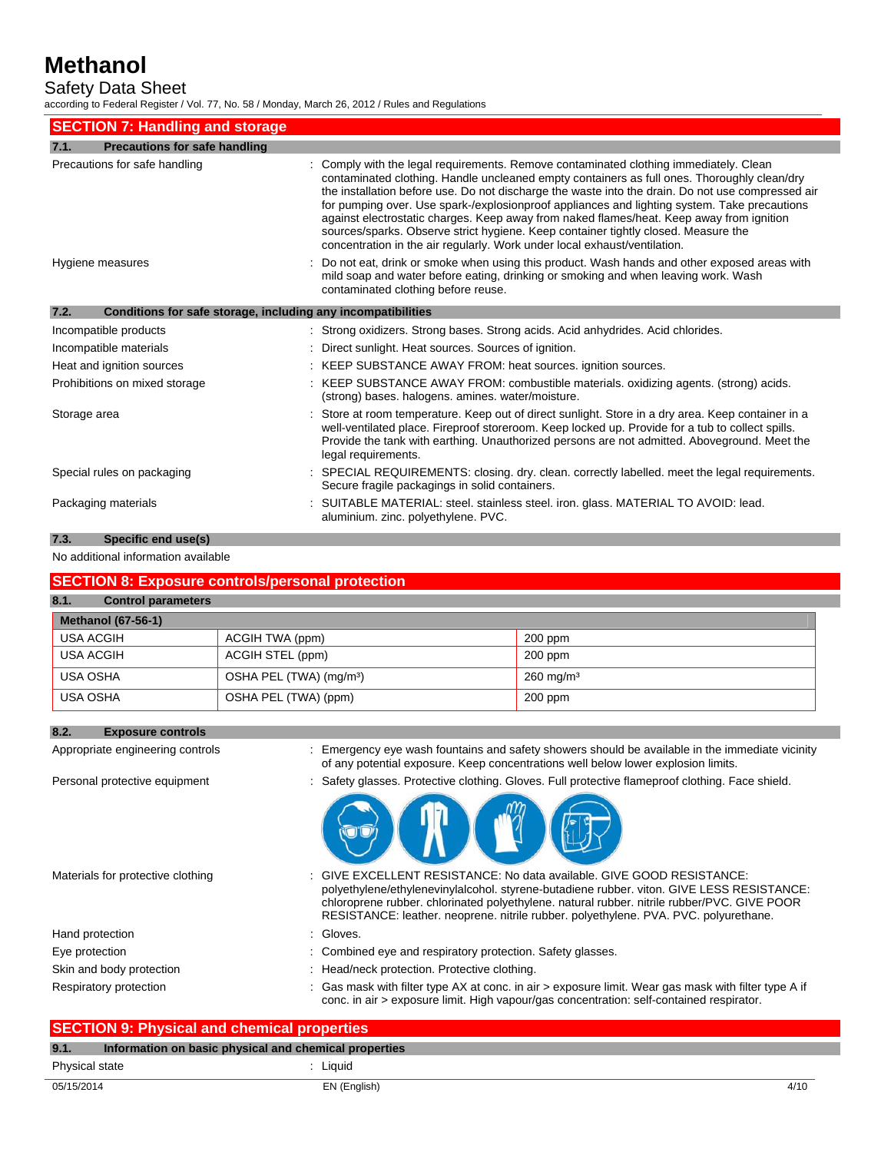Safety Data Sheet

according to Federal Register / Vol. 77, No. 58 / Monday, March 26, 2012 / Rules and Regulations

| <b>SECTION 7: Handling and storage</b>                               |                                                                                                                                                                                                                                                                                                                                                                                                                                                                                                                                                                                                                                                          |  |  |
|----------------------------------------------------------------------|----------------------------------------------------------------------------------------------------------------------------------------------------------------------------------------------------------------------------------------------------------------------------------------------------------------------------------------------------------------------------------------------------------------------------------------------------------------------------------------------------------------------------------------------------------------------------------------------------------------------------------------------------------|--|--|
| <b>Precautions for safe handling</b><br>7.1.                         |                                                                                                                                                                                                                                                                                                                                                                                                                                                                                                                                                                                                                                                          |  |  |
| Precautions for safe handling                                        | : Comply with the legal requirements. Remove contaminated clothing immediately. Clean<br>contaminated clothing. Handle uncleaned empty containers as full ones. Thoroughly clean/dry<br>the installation before use. Do not discharge the waste into the drain. Do not use compressed air<br>for pumping over. Use spark-/explosionproof appliances and lighting system. Take precautions<br>against electrostatic charges. Keep away from naked flames/heat. Keep away from ignition<br>sources/sparks. Observe strict hygiene. Keep container tightly closed. Measure the<br>concentration in the air regularly. Work under local exhaust/ventilation. |  |  |
| Hygiene measures                                                     | : Do not eat, drink or smoke when using this product. Wash hands and other exposed areas with<br>mild soap and water before eating, drinking or smoking and when leaving work. Wash<br>contaminated clothing before reuse.                                                                                                                                                                                                                                                                                                                                                                                                                               |  |  |
| 7.2.<br>Conditions for safe storage, including any incompatibilities |                                                                                                                                                                                                                                                                                                                                                                                                                                                                                                                                                                                                                                                          |  |  |
| Incompatible products                                                | : Strong oxidizers. Strong bases. Strong acids. Acid anhydrides. Acid chlorides.                                                                                                                                                                                                                                                                                                                                                                                                                                                                                                                                                                         |  |  |
| Incompatible materials                                               | : Direct sunlight. Heat sources. Sources of ignition.                                                                                                                                                                                                                                                                                                                                                                                                                                                                                                                                                                                                    |  |  |
| Heat and ignition sources                                            | : KEEP SUBSTANCE AWAY FROM: heat sources. ignition sources.                                                                                                                                                                                                                                                                                                                                                                                                                                                                                                                                                                                              |  |  |
| Prohibitions on mixed storage                                        | : KEEP SUBSTANCE AWAY FROM: combustible materials. oxidizing agents. (strong) acids.<br>(strong) bases, halogens, amines, water/moisture.                                                                                                                                                                                                                                                                                                                                                                                                                                                                                                                |  |  |
| Storage area                                                         | : Store at room temperature. Keep out of direct sunlight. Store in a dry area. Keep container in a<br>well-ventilated place. Fireproof storeroom. Keep locked up. Provide for a tub to collect spills.<br>Provide the tank with earthing. Unauthorized persons are not admitted. Aboveground. Meet the<br>legal requirements.                                                                                                                                                                                                                                                                                                                            |  |  |
| Special rules on packaging                                           | : SPECIAL REQUIREMENTS: closing. dry. clean. correctly labelled. meet the legal requirements.<br>Secure fragile packagings in solid containers.                                                                                                                                                                                                                                                                                                                                                                                                                                                                                                          |  |  |
| Packaging materials                                                  | SUITABLE MATERIAL: steel. stainless steel. iron. glass. MATERIAL TO AVOID: lead.<br>aluminium. zinc. polyethylene. PVC.                                                                                                                                                                                                                                                                                                                                                                                                                                                                                                                                  |  |  |

## **7.3. Specific end use(s)**

No additional information available

## **SECTION 8: Exposure controls/personal protection**

## **8.1. Control parameters**

| <b>Methanol (67-56-1)</b> |                                     |                         |  |
|---------------------------|-------------------------------------|-------------------------|--|
| USA ACGIH                 | ACGIH TWA (ppm)                     | $200$ ppm               |  |
| USA ACGIH                 | ACGIH STEL (ppm)                    | 200 ppm                 |  |
| USA OSHA                  | OSHA PEL (TWA) (mg/m <sup>3</sup> ) | $260 \,\mathrm{mg/m^3}$ |  |
| USA OSHA                  | OSHA PEL (TWA) (ppm)                | $200$ ppm               |  |

| 8.2. | <b>Exposure controls</b>          |                                                                                                                                                                                                                                                                                                                                                           |
|------|-----------------------------------|-----------------------------------------------------------------------------------------------------------------------------------------------------------------------------------------------------------------------------------------------------------------------------------------------------------------------------------------------------------|
|      | Appropriate engineering controls  | : Emergency eye wash fountains and safety showers should be available in the immediate vicinity<br>of any potential exposure. Keep concentrations well below lower explosion limits.                                                                                                                                                                      |
|      | Personal protective equipment     | : Safety glasses. Protective clothing. Gloves. Full protective flameproof clothing. Face shield.                                                                                                                                                                                                                                                          |
|      |                                   |                                                                                                                                                                                                                                                                                                                                                           |
|      | Materials for protective clothing | : GIVE EXCELLENT RESISTANCE: No data available. GIVE GOOD RESISTANCE:<br>polyethylene/ethylenevinylalcohol. styrene-butadiene rubber. viton. GIVE LESS RESISTANCE:<br>chloroprene rubber. chlorinated polyethylene. natural rubber. nitrile rubber/PVC. GIVE POOR<br>RESISTANCE: leather, neoprene, nitrile rubber, polyethylene, PVA, PVC, polyurethane, |
|      | Hand protection                   | : Gloves.                                                                                                                                                                                                                                                                                                                                                 |
|      | Eye protection                    | : Combined eye and respiratory protection. Safety glasses.                                                                                                                                                                                                                                                                                                |
|      | Skin and body protection          | : Head/neck protection. Protective clothing.                                                                                                                                                                                                                                                                                                              |
|      | Respiratory protection            | : Gas mask with filter type AX at conc. in air > exposure limit. Wear gas mask with filter type A if<br>conc. in air > exposure limit. High vapour/gas concentration: self-contained respirator.                                                                                                                                                          |

| <b>SECTION 9: Physical and chemical properties</b> |                                                       |      |
|----------------------------------------------------|-------------------------------------------------------|------|
| 9.1.                                               | Information on basic physical and chemical properties |      |
| Physical state                                     | : Liauid                                              |      |
| 05/15/2014                                         | EN (English)                                          | 4/10 |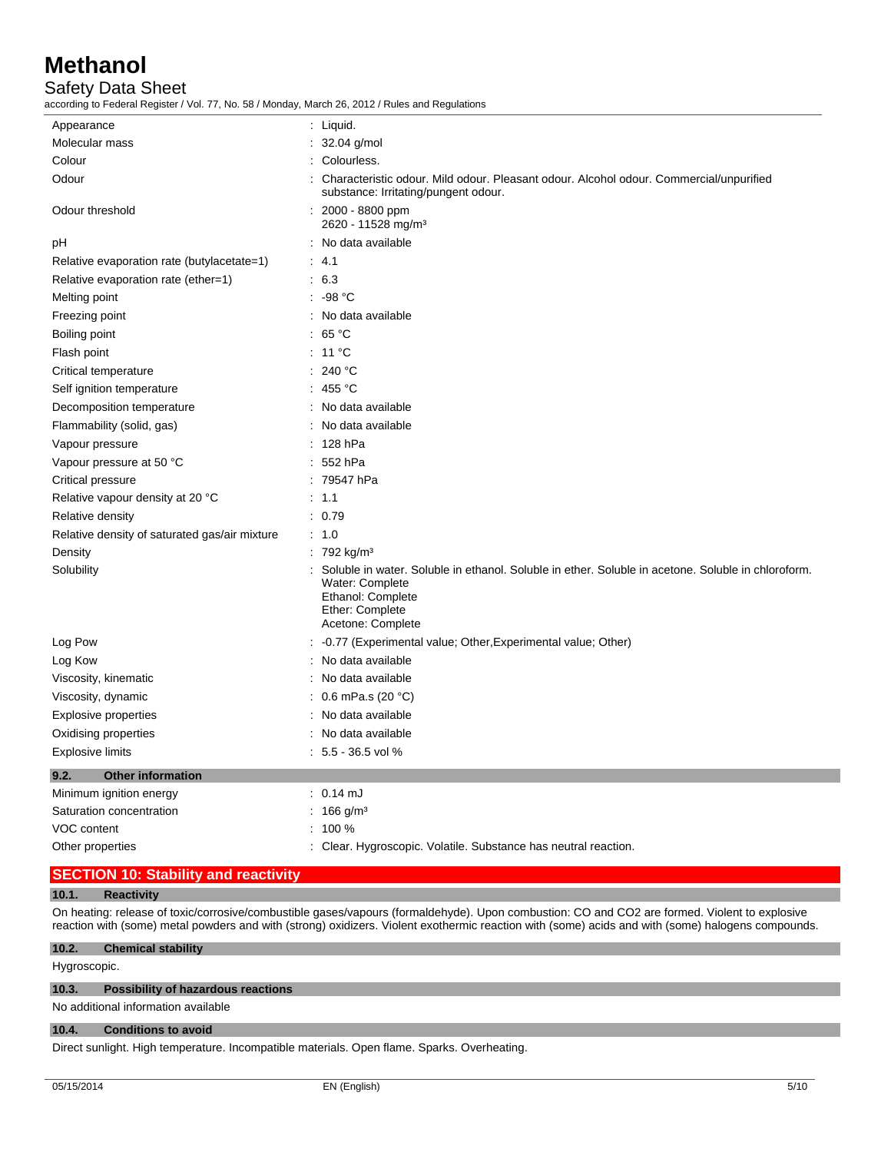Safety Data Sheet

according to Federal Register / Vol. 77, No. 58 / Monday, March 26, 2012 / Rules and Regulations

| Appearance                                    | : Liquid.                                                                                                                                                                            |
|-----------------------------------------------|--------------------------------------------------------------------------------------------------------------------------------------------------------------------------------------|
| Molecular mass                                | : 32.04 g/mol                                                                                                                                                                        |
| Colour                                        | Colourless.                                                                                                                                                                          |
| Odour                                         | Characteristic odour. Mild odour. Pleasant odour. Alcohol odour. Commercial/unpurified<br>substance: Irritating/pungent odour.                                                       |
| Odour threshold                               | 2000 - 8800 ppm<br>2620 - 11528 mg/m <sup>3</sup>                                                                                                                                    |
| рH                                            | : No data available                                                                                                                                                                  |
| Relative evaporation rate (butylacetate=1)    | $\therefore$ 4.1                                                                                                                                                                     |
| Relative evaporation rate (ether=1)           | .6.3                                                                                                                                                                                 |
| Melting point                                 | : -98 °C                                                                                                                                                                             |
| Freezing point                                | : No data available                                                                                                                                                                  |
| Boiling point                                 | : 65 °C                                                                                                                                                                              |
| Flash point                                   | $: 11^{\circ}$ C                                                                                                                                                                     |
| Critical temperature                          | : 240 °C                                                                                                                                                                             |
| Self ignition temperature                     | : 455 °C                                                                                                                                                                             |
| Decomposition temperature                     | : No data available                                                                                                                                                                  |
| Flammability (solid, gas)                     | : No data available                                                                                                                                                                  |
| Vapour pressure                               | : 128 hPa                                                                                                                                                                            |
| Vapour pressure at 50 °C                      | $: 552$ hPa                                                                                                                                                                          |
| Critical pressure                             | : 79547 hPa                                                                                                                                                                          |
| Relative vapour density at 20 °C              | $\therefore$ 1.1                                                                                                                                                                     |
| Relative density                              | : 0.79                                                                                                                                                                               |
| Relative density of saturated gas/air mixture | $\therefore$ 1.0                                                                                                                                                                     |
| Density                                       | : 792 kg/m <sup>3</sup>                                                                                                                                                              |
| Solubility                                    | : Soluble in water. Soluble in ethanol. Soluble in ether. Soluble in acetone. Soluble in chloroform.<br>Water: Complete<br>Ethanol: Complete<br>Ether: Complete<br>Acetone: Complete |
| Log Pow                                       | -0.77 (Experimental value; Other, Experimental value; Other)                                                                                                                         |
| Log Kow                                       | : No data available                                                                                                                                                                  |
| Viscosity, kinematic                          | : No data available                                                                                                                                                                  |
| Viscosity, dynamic                            | : $0.6$ mPa.s (20 °C)                                                                                                                                                                |
| <b>Explosive properties</b>                   | : No data available                                                                                                                                                                  |
| Oxidising properties                          | : No data available                                                                                                                                                                  |
| <b>Explosive limits</b>                       | $: 5.5 - 36.5$ vol %                                                                                                                                                                 |
| 9.2.<br><b>Other information</b>              |                                                                                                                                                                                      |
| Minimum ignition energy                       | $: 0.14 \text{ mJ}$                                                                                                                                                                  |
| Saturation concentration                      | : $166$ g/m <sup>3</sup>                                                                                                                                                             |
| VOC content                                   | 100 %                                                                                                                                                                                |
| Other properties                              | : Clear. Hygroscopic. Volatile. Substance has neutral reaction.                                                                                                                      |
|                                               |                                                                                                                                                                                      |

## **SECTION 10: Stability and reactivity**

#### **10.1. Reactivity**

On heating: release of toxic/corrosive/combustible gases/vapours (formaldehyde). Upon combustion: CO and CO2 are formed. Violent to explosive reaction with (some) metal powders and with (strong) oxidizers. Violent exothermic reaction with (some) acids and with (some) halogens compounds.

#### **10.2. Chemical stability**

Hygroscopic.

#### **10.3. Possibility of hazardous reactions**

No additional information available

#### **10.4. Conditions to avoid**

Direct sunlight. High temperature. Incompatible materials. Open flame. Sparks. Overheating.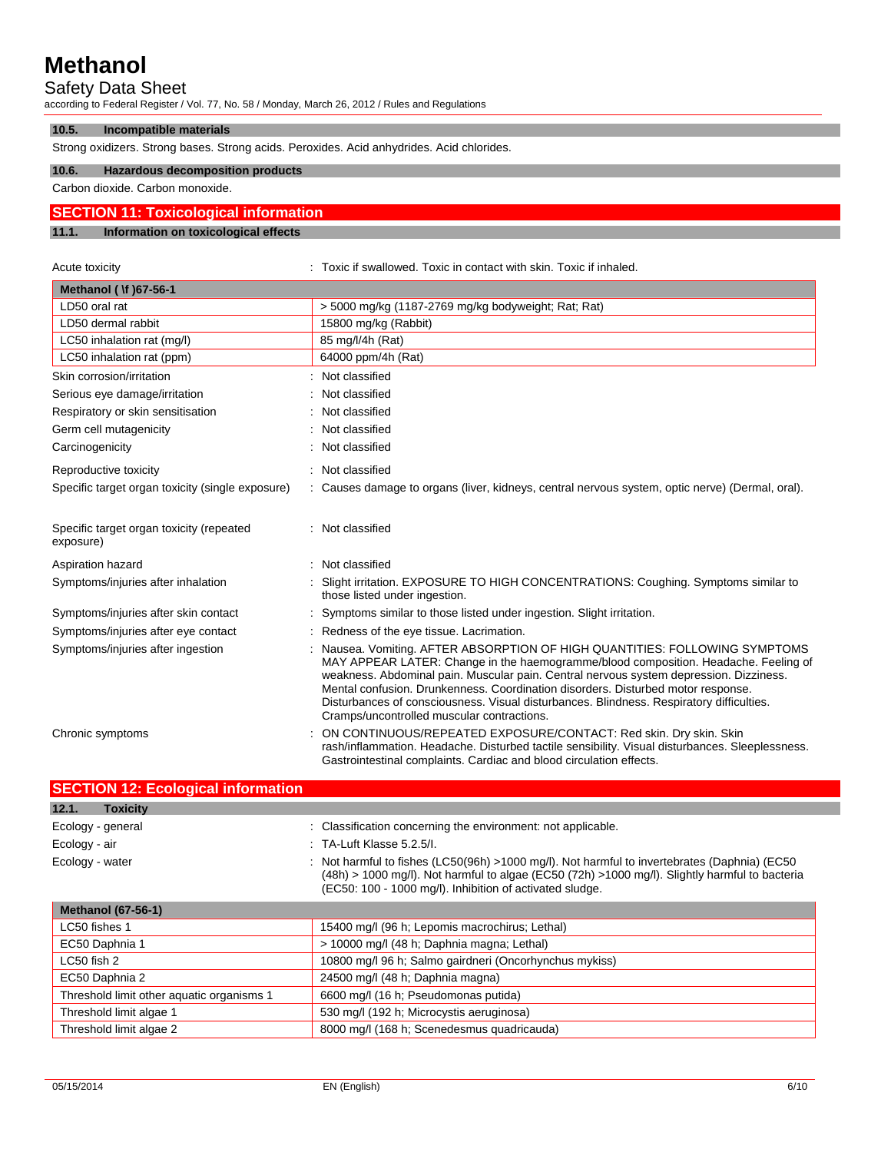## Safety Data Sheet

**10.5. Incompatible materials** 

according to Federal Register / Vol. 77, No. 58 / Monday, March 26, 2012 / Rules and Regulations

| Strong oxidizers. Strong bases. Strong acids. Peroxides. Acid anhydrides. Acid chlorides. |                                              |  |  |
|-------------------------------------------------------------------------------------------|----------------------------------------------|--|--|
| 10.6.                                                                                     | <b>Hazardous decomposition products</b>      |  |  |
|                                                                                           | Carbon dioxide. Carbon monoxide.             |  |  |
|                                                                                           | <b>SECTION 11: Toxicological information</b> |  |  |
| 11.1.                                                                                     | Information on toxicological effects         |  |  |

| Acute toxicity                                        | Toxic if swallowed. Toxic in contact with skin. Toxic if inhaled.                                                                                                                                                                                                                                                                                                                                                                                                                        |
|-------------------------------------------------------|------------------------------------------------------------------------------------------------------------------------------------------------------------------------------------------------------------------------------------------------------------------------------------------------------------------------------------------------------------------------------------------------------------------------------------------------------------------------------------------|
| Methanol ( \f )67-56-1                                |                                                                                                                                                                                                                                                                                                                                                                                                                                                                                          |
| LD50 oral rat                                         | > 5000 mg/kg (1187-2769 mg/kg bodyweight; Rat; Rat)                                                                                                                                                                                                                                                                                                                                                                                                                                      |
| LD50 dermal rabbit                                    | 15800 mg/kg (Rabbit)                                                                                                                                                                                                                                                                                                                                                                                                                                                                     |
| LC50 inhalation rat (mg/l)                            | 85 mg/l/4h (Rat)                                                                                                                                                                                                                                                                                                                                                                                                                                                                         |
| LC50 inhalation rat (ppm)                             | 64000 ppm/4h (Rat)                                                                                                                                                                                                                                                                                                                                                                                                                                                                       |
| Skin corrosion/irritation                             | Not classified                                                                                                                                                                                                                                                                                                                                                                                                                                                                           |
| Serious eye damage/irritation                         | Not classified                                                                                                                                                                                                                                                                                                                                                                                                                                                                           |
| Respiratory or skin sensitisation                     | Not classified                                                                                                                                                                                                                                                                                                                                                                                                                                                                           |
| Germ cell mutagenicity                                | Not classified                                                                                                                                                                                                                                                                                                                                                                                                                                                                           |
| Carcinogenicity                                       | Not classified                                                                                                                                                                                                                                                                                                                                                                                                                                                                           |
| Reproductive toxicity                                 | Not classified                                                                                                                                                                                                                                                                                                                                                                                                                                                                           |
| Specific target organ toxicity (single exposure)      | Causes damage to organs (liver, kidneys, central nervous system, optic nerve) (Dermal, oral).                                                                                                                                                                                                                                                                                                                                                                                            |
| Specific target organ toxicity (repeated<br>exposure) | : Not classified                                                                                                                                                                                                                                                                                                                                                                                                                                                                         |
| Aspiration hazard                                     | Not classified                                                                                                                                                                                                                                                                                                                                                                                                                                                                           |
| Symptoms/injuries after inhalation                    | Slight irritation. EXPOSURE TO HIGH CONCENTRATIONS: Coughing. Symptoms similar to<br>those listed under ingestion.                                                                                                                                                                                                                                                                                                                                                                       |
| Symptoms/injuries after skin contact                  | Symptoms similar to those listed under ingestion. Slight irritation.                                                                                                                                                                                                                                                                                                                                                                                                                     |
| Symptoms/injuries after eye contact                   | Redness of the eye tissue. Lacrimation.                                                                                                                                                                                                                                                                                                                                                                                                                                                  |
| Symptoms/injuries after ingestion                     | Nausea. Vomiting. AFTER ABSORPTION OF HIGH QUANTITIES: FOLLOWING SYMPTOMS<br>MAY APPEAR LATER: Change in the haemogramme/blood composition. Headache. Feeling of<br>weakness. Abdominal pain. Muscular pain. Central nervous system depression. Dizziness.<br>Mental confusion. Drunkenness. Coordination disorders. Disturbed motor response.<br>Disturbances of consciousness. Visual disturbances. Blindness. Respiratory difficulties.<br>Cramps/uncontrolled muscular contractions. |
| Chronic symptoms                                      | ON CONTINUOUS/REPEATED EXPOSURE/CONTACT: Red skin. Dry skin. Skin<br>rash/inflammation. Headache. Disturbed tactile sensibility. Visual disturbances. Sleeplessness.<br>Gastrointestinal complaints. Cardiac and blood circulation effects.                                                                                                                                                                                                                                              |

| <b>SECTION 12: Ecological information</b> |  |                                                                                                                                                                                                                                                                 |
|-------------------------------------------|--|-----------------------------------------------------------------------------------------------------------------------------------------------------------------------------------------------------------------------------------------------------------------|
| 12.1.<br><b>Toxicity</b>                  |  |                                                                                                                                                                                                                                                                 |
| Ecology - general                         |  | : Classification concerning the environment: not applicable.                                                                                                                                                                                                    |
| Ecology - air                             |  | $\therefore$ TA-Luft Klasse 5.2.5/L                                                                                                                                                                                                                             |
| Ecology - water                           |  | : Not harmful to fishes (LC50(96h) >1000 mg/l). Not harmful to invertebrates (Daphnia) (EC50<br>$(48h) > 1000$ mg/l). Not harmful to algae (EC50 $(72h) > 1000$ mg/l). Slightly harmful to bacteria<br>(EC50: 100 - 1000 mg/l). Inhibition of activated sludge. |

| <b>Methanol (67-56-1)</b>                 |                                                        |  |
|-------------------------------------------|--------------------------------------------------------|--|
| LC50 fishes 1                             | 15400 mg/l (96 h; Lepomis macrochirus; Lethal)         |  |
| EC50 Daphnia 1                            | > 10000 mg/l (48 h; Daphnia magna; Lethal)             |  |
| LC50 fish 2                               | 10800 mg/l 96 h; Salmo gairdneri (Oncorhynchus mykiss) |  |
| EC50 Daphnia 2                            | 24500 mg/l (48 h; Daphnia magna)                       |  |
| Threshold limit other aquatic organisms 1 | 6600 mg/l (16 h; Pseudomonas putida)                   |  |
| Threshold limit algae 1                   | 530 mg/l (192 h; Microcystis aeruginosa)               |  |
| Threshold limit algae 2                   | 8000 mg/l (168 h; Scenedesmus quadricauda)             |  |

<u> Tanzania (</u>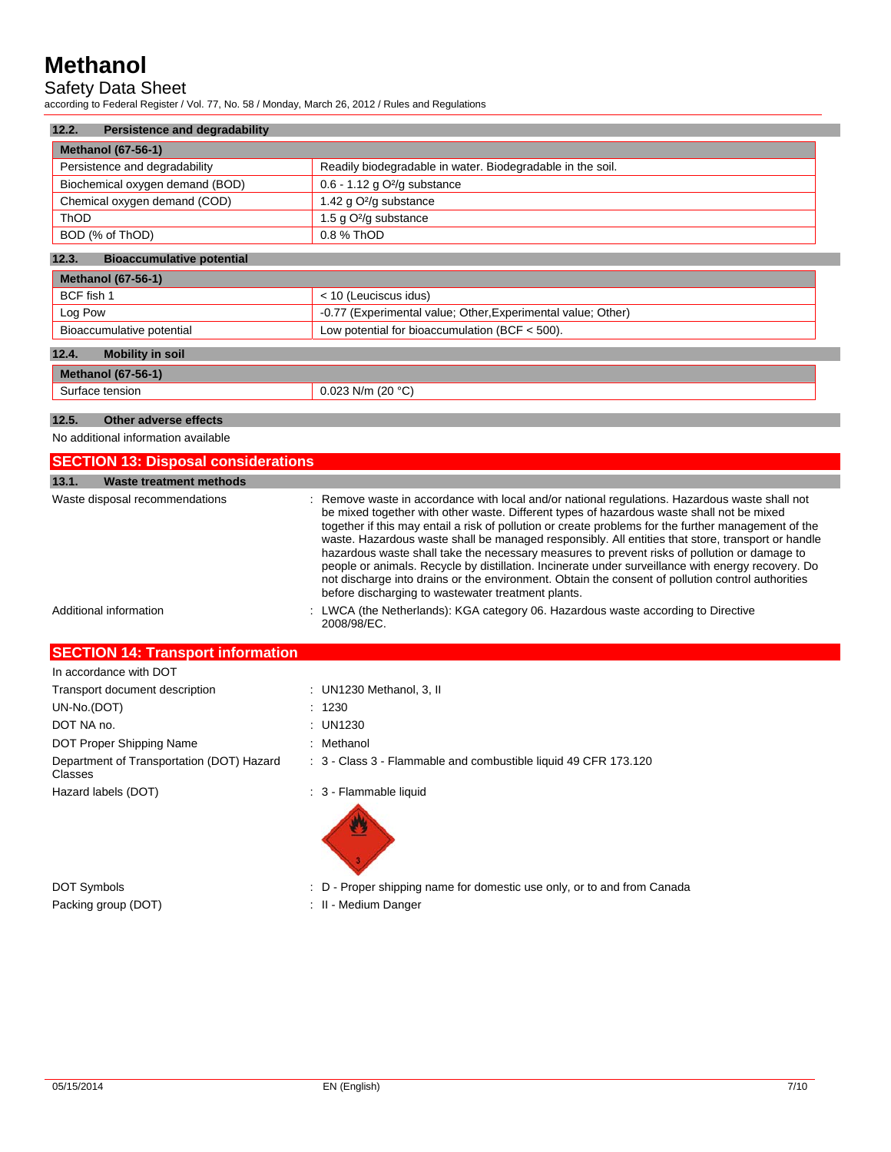## Safety Data Sheet

according to Federal Register / Vol. 77, No. 58 / Monday, March 26, 2012 / Rules and Regulations

| 12.2.<br><b>Persistence and degradability</b> |                                                            |  |
|-----------------------------------------------|------------------------------------------------------------|--|
| <b>Methanol (67-56-1)</b>                     |                                                            |  |
| Persistence and degradability                 | Readily biodegradable in water. Biodegradable in the soil. |  |
| Biochemical oxygen demand (BOD)               | $0.6 - 1.12$ g $O^2$ /g substance                          |  |
| Chemical oxygen demand (COD)                  | 1.42 g O <sup>2</sup> /g substance                         |  |
| ThOD                                          | 1.5 g O <sup>2</sup> /g substance                          |  |
| BOD (% of ThOD)                               | 0.8 % ThOD                                                 |  |

#### **12.3. Bioaccumulative potential**

| Methanol $(67-56-1)$             |                                                              |  |
|----------------------------------|--------------------------------------------------------------|--|
| BCF fish 1                       | $<$ 10 (Leuciscus idus)                                      |  |
| Log Pow                          | -0.77 (Experimental value; Other, Experimental value; Other) |  |
| Bioaccumulative potential        | Low potential for bioaccumulation (BCF $<$ 500).             |  |
|                                  |                                                              |  |
| 12.4.<br><b>Mobility in soil</b> |                                                              |  |
| $Mathand (67-56-1)$              |                                                              |  |

## **Methanol (67-56-1)**  Surface tension 0.023 N/m (20 °C)

## **12.5. Other adverse effects**

No additional information available

| <b>SECTION 13: Disposal considerations</b> |                                                                                                                                                                                                                                                                                                                                                                                                                                                                                                                                                                                                                                                                                                                                                                           |  |
|--------------------------------------------|---------------------------------------------------------------------------------------------------------------------------------------------------------------------------------------------------------------------------------------------------------------------------------------------------------------------------------------------------------------------------------------------------------------------------------------------------------------------------------------------------------------------------------------------------------------------------------------------------------------------------------------------------------------------------------------------------------------------------------------------------------------------------|--|
| 13.1.<br><b>Waste treatment methods</b>    |                                                                                                                                                                                                                                                                                                                                                                                                                                                                                                                                                                                                                                                                                                                                                                           |  |
| Waste disposal recommendations             | : Remove waste in accordance with local and/or national regulations. Hazardous waste shall not<br>be mixed together with other waste. Different types of hazardous waste shall not be mixed<br>together if this may entail a risk of pollution or create problems for the further management of the<br>waste. Hazardous waste shall be managed responsibly. All entities that store, transport or handle<br>hazardous waste shall take the necessary measures to prevent risks of pollution or damage to<br>people or animals. Recycle by distillation. Incinerate under surveillance with energy recovery. Do<br>not discharge into drains or the environment. Obtain the consent of pollution control authorities<br>before discharging to wastewater treatment plants. |  |
| Additional information                     | : LWCA (the Netherlands): KGA category 06. Hazardous waste according to Directive<br>2008/98/EC.                                                                                                                                                                                                                                                                                                                                                                                                                                                                                                                                                                                                                                                                          |  |

## **SECTION 14: Transport information**

| In accordance with DOT                               |                                                                 |
|------------------------------------------------------|-----------------------------------------------------------------|
| Transport document description                       | : UN1230 Methanol, 3, II                                        |
| UN-No.(DOT)                                          | : 1230                                                          |
| DOT NA no.                                           | : UN1230                                                        |
| DOT Proper Shipping Name                             | : Methanol                                                      |
| Department of Transportation (DOT) Hazard<br>Classes | : 3 - Class 3 - Flammable and combustible liquid 49 CFR 173.120 |
| Hazard labels (DOT)                                  | : 3 - Flammable liquid                                          |
|                                                      |                                                                 |

Packing group (DOT) **in the case of the COV**  $\cdot$  II - Medium Danger

- DOT Symbols **EXECUTE:** D Proper shipping name for domestic use only, or to and from Canada
	-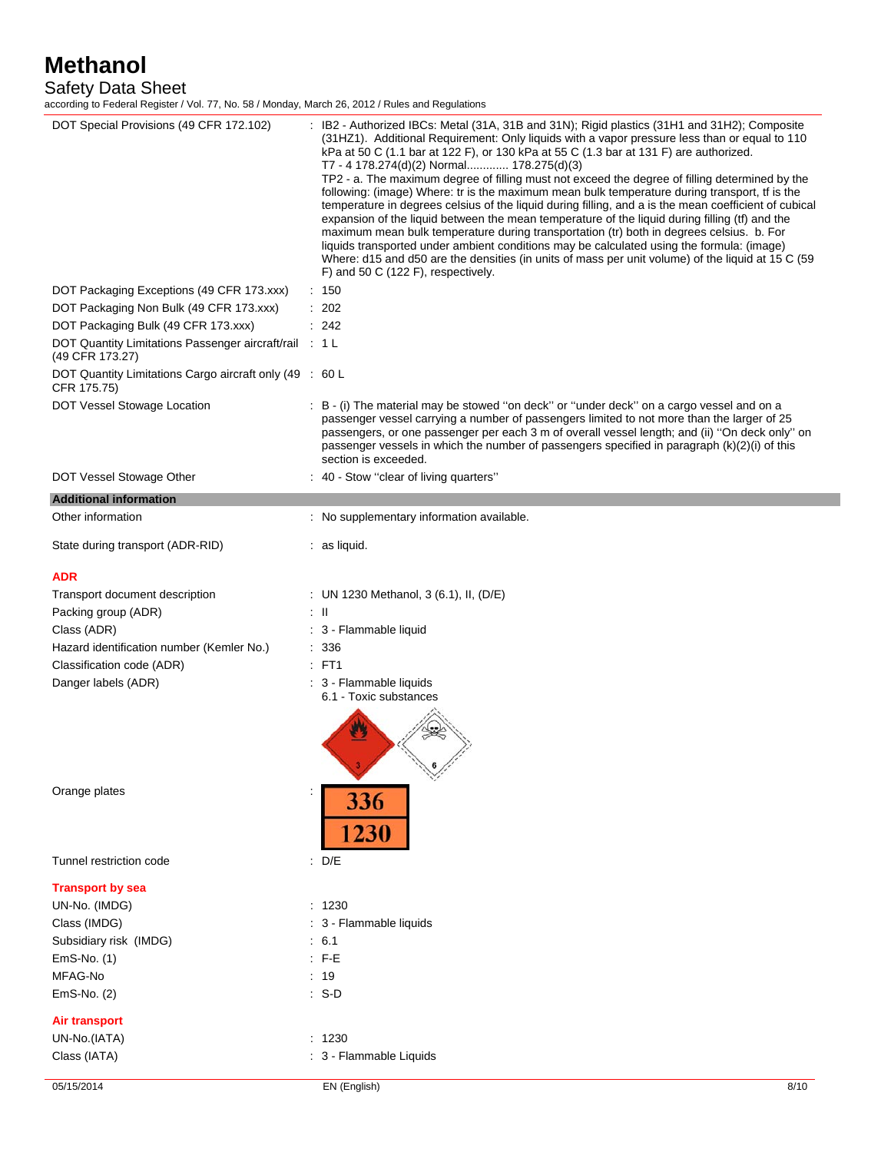Safety Data Sheet

according to Federal Register / Vol. 77, No. 58 / Monday, March 26, 2012 / Rules and Regulations

| oorang to ribaolal rtoglotor / vol. r r , rto. oo / monaay, maron Eo, Eo iE / rtaloo and rtogalation |                                                                                                                                                                                                                                                                                                                                                                                                                                                                                                                                                                                                                                                                                                                                                                                                                                                                                                                                                                                                                                                                                          |
|------------------------------------------------------------------------------------------------------|------------------------------------------------------------------------------------------------------------------------------------------------------------------------------------------------------------------------------------------------------------------------------------------------------------------------------------------------------------------------------------------------------------------------------------------------------------------------------------------------------------------------------------------------------------------------------------------------------------------------------------------------------------------------------------------------------------------------------------------------------------------------------------------------------------------------------------------------------------------------------------------------------------------------------------------------------------------------------------------------------------------------------------------------------------------------------------------|
| DOT Special Provisions (49 CFR 172.102)                                                              | : IB2 - Authorized IBCs: Metal (31A, 31B and 31N); Rigid plastics (31H1 and 31H2); Composite<br>(31HZ1). Additional Requirement: Only liquids with a vapor pressure less than or equal to 110<br>kPa at 50 C (1.1 bar at 122 F), or 130 kPa at 55 C (1.3 bar at 131 F) are authorized.<br>T7 - 4 178.274(d)(2) Normal 178.275(d)(3)<br>TP2 - a. The maximum degree of filling must not exceed the degree of filling determined by the<br>following: (image) Where: tr is the maximum mean bulk temperature during transport, if is the<br>temperature in degrees celsius of the liquid during filling, and a is the mean coefficient of cubical<br>expansion of the liquid between the mean temperature of the liquid during filling (tf) and the<br>maximum mean bulk temperature during transportation (tr) both in degrees celsius. b. For<br>liquids transported under ambient conditions may be calculated using the formula: (image)<br>Where: d15 and d50 are the densities (in units of mass per unit volume) of the liquid at 15 C (59<br>$F$ ) and 50 C (122 F), respectively. |
| DOT Packaging Exceptions (49 CFR 173.xxx)                                                            | : 150                                                                                                                                                                                                                                                                                                                                                                                                                                                                                                                                                                                                                                                                                                                                                                                                                                                                                                                                                                                                                                                                                    |
| DOT Packaging Non Bulk (49 CFR 173.xxx)                                                              | : 202                                                                                                                                                                                                                                                                                                                                                                                                                                                                                                                                                                                                                                                                                                                                                                                                                                                                                                                                                                                                                                                                                    |
| DOT Packaging Bulk (49 CFR 173.xxx)                                                                  | : 242                                                                                                                                                                                                                                                                                                                                                                                                                                                                                                                                                                                                                                                                                                                                                                                                                                                                                                                                                                                                                                                                                    |
| DOT Quantity Limitations Passenger aircraft/rail : 1 L<br>(49 CFR 173.27)                            |                                                                                                                                                                                                                                                                                                                                                                                                                                                                                                                                                                                                                                                                                                                                                                                                                                                                                                                                                                                                                                                                                          |
| DOT Quantity Limitations Cargo aircraft only (49 : 60 L<br>CFR 175.75)                               |                                                                                                                                                                                                                                                                                                                                                                                                                                                                                                                                                                                                                                                                                                                                                                                                                                                                                                                                                                                                                                                                                          |
| DOT Vessel Stowage Location                                                                          | : B - (i) The material may be stowed "on deck" or "under deck" on a cargo vessel and on a<br>passenger vessel carrying a number of passengers limited to not more than the larger of 25<br>passengers, or one passenger per each 3 m of overall vessel length; and (ii) "On deck only" on<br>passenger vessels in which the number of passengers specified in paragraph (k)(2)(i) of this<br>section is exceeded.                                                                                                                                                                                                                                                                                                                                                                                                                                                                                                                                                                                                                                                                        |
| DOT Vessel Stowage Other                                                                             | 40 - Stow "clear of living quarters"                                                                                                                                                                                                                                                                                                                                                                                                                                                                                                                                                                                                                                                                                                                                                                                                                                                                                                                                                                                                                                                     |
| <b>Additional information</b>                                                                        |                                                                                                                                                                                                                                                                                                                                                                                                                                                                                                                                                                                                                                                                                                                                                                                                                                                                                                                                                                                                                                                                                          |
| Other information                                                                                    | : No supplementary information available.                                                                                                                                                                                                                                                                                                                                                                                                                                                                                                                                                                                                                                                                                                                                                                                                                                                                                                                                                                                                                                                |
| State during transport (ADR-RID)                                                                     | $:$ as liquid.                                                                                                                                                                                                                                                                                                                                                                                                                                                                                                                                                                                                                                                                                                                                                                                                                                                                                                                                                                                                                                                                           |
| ADR                                                                                                  |                                                                                                                                                                                                                                                                                                                                                                                                                                                                                                                                                                                                                                                                                                                                                                                                                                                                                                                                                                                                                                                                                          |
| Transport document description                                                                       | : UN 1230 Methanol, 3 (6.1), II, (D/E)                                                                                                                                                                                                                                                                                                                                                                                                                                                                                                                                                                                                                                                                                                                                                                                                                                                                                                                                                                                                                                                   |
| Packing group (ADR)                                                                                  | ÷Ш                                                                                                                                                                                                                                                                                                                                                                                                                                                                                                                                                                                                                                                                                                                                                                                                                                                                                                                                                                                                                                                                                       |
| Class (ADR)                                                                                          | : 3 - Flammable liquid                                                                                                                                                                                                                                                                                                                                                                                                                                                                                                                                                                                                                                                                                                                                                                                                                                                                                                                                                                                                                                                                   |
| Hazard identification number (Kemler No.)                                                            | : 336                                                                                                                                                                                                                                                                                                                                                                                                                                                                                                                                                                                                                                                                                                                                                                                                                                                                                                                                                                                                                                                                                    |
| Classification code (ADR)                                                                            | $:$ FT1                                                                                                                                                                                                                                                                                                                                                                                                                                                                                                                                                                                                                                                                                                                                                                                                                                                                                                                                                                                                                                                                                  |
| Danger labels (ADR)                                                                                  | : 3 - Flammable liquids<br>6.1 - Toxic substances<br>$-6/2$                                                                                                                                                                                                                                                                                                                                                                                                                                                                                                                                                                                                                                                                                                                                                                                                                                                                                                                                                                                                                              |
| Orange plates                                                                                        | 336<br>1230                                                                                                                                                                                                                                                                                                                                                                                                                                                                                                                                                                                                                                                                                                                                                                                                                                                                                                                                                                                                                                                                              |
| Tunnel restriction code                                                                              | D/E<br>÷                                                                                                                                                                                                                                                                                                                                                                                                                                                                                                                                                                                                                                                                                                                                                                                                                                                                                                                                                                                                                                                                                 |
| <b>Transport by sea</b>                                                                              |                                                                                                                                                                                                                                                                                                                                                                                                                                                                                                                                                                                                                                                                                                                                                                                                                                                                                                                                                                                                                                                                                          |
| UN-No. (IMDG)                                                                                        | : 1230                                                                                                                                                                                                                                                                                                                                                                                                                                                                                                                                                                                                                                                                                                                                                                                                                                                                                                                                                                                                                                                                                   |
| Class (IMDG)                                                                                         | : 3 - Flammable liquids                                                                                                                                                                                                                                                                                                                                                                                                                                                                                                                                                                                                                                                                                                                                                                                                                                                                                                                                                                                                                                                                  |
| Subsidiary risk (IMDG)                                                                               | $\therefore$ 6.1                                                                                                                                                                                                                                                                                                                                                                                                                                                                                                                                                                                                                                                                                                                                                                                                                                                                                                                                                                                                                                                                         |
| EmS-No. (1)                                                                                          | $F - E$                                                                                                                                                                                                                                                                                                                                                                                                                                                                                                                                                                                                                                                                                                                                                                                                                                                                                                                                                                                                                                                                                  |
| MFAG-No                                                                                              | : 19                                                                                                                                                                                                                                                                                                                                                                                                                                                                                                                                                                                                                                                                                                                                                                                                                                                                                                                                                                                                                                                                                     |
| EmS-No. (2)                                                                                          | $: S-D$                                                                                                                                                                                                                                                                                                                                                                                                                                                                                                                                                                                                                                                                                                                                                                                                                                                                                                                                                                                                                                                                                  |
| Air transport                                                                                        |                                                                                                                                                                                                                                                                                                                                                                                                                                                                                                                                                                                                                                                                                                                                                                                                                                                                                                                                                                                                                                                                                          |
| UN-No.(IATA)                                                                                         | : 1230                                                                                                                                                                                                                                                                                                                                                                                                                                                                                                                                                                                                                                                                                                                                                                                                                                                                                                                                                                                                                                                                                   |
| Class (IATA)                                                                                         | : 3 - Flammable Liquids                                                                                                                                                                                                                                                                                                                                                                                                                                                                                                                                                                                                                                                                                                                                                                                                                                                                                                                                                                                                                                                                  |
| 05/15/2014                                                                                           | EN (English)<br>8/10                                                                                                                                                                                                                                                                                                                                                                                                                                                                                                                                                                                                                                                                                                                                                                                                                                                                                                                                                                                                                                                                     |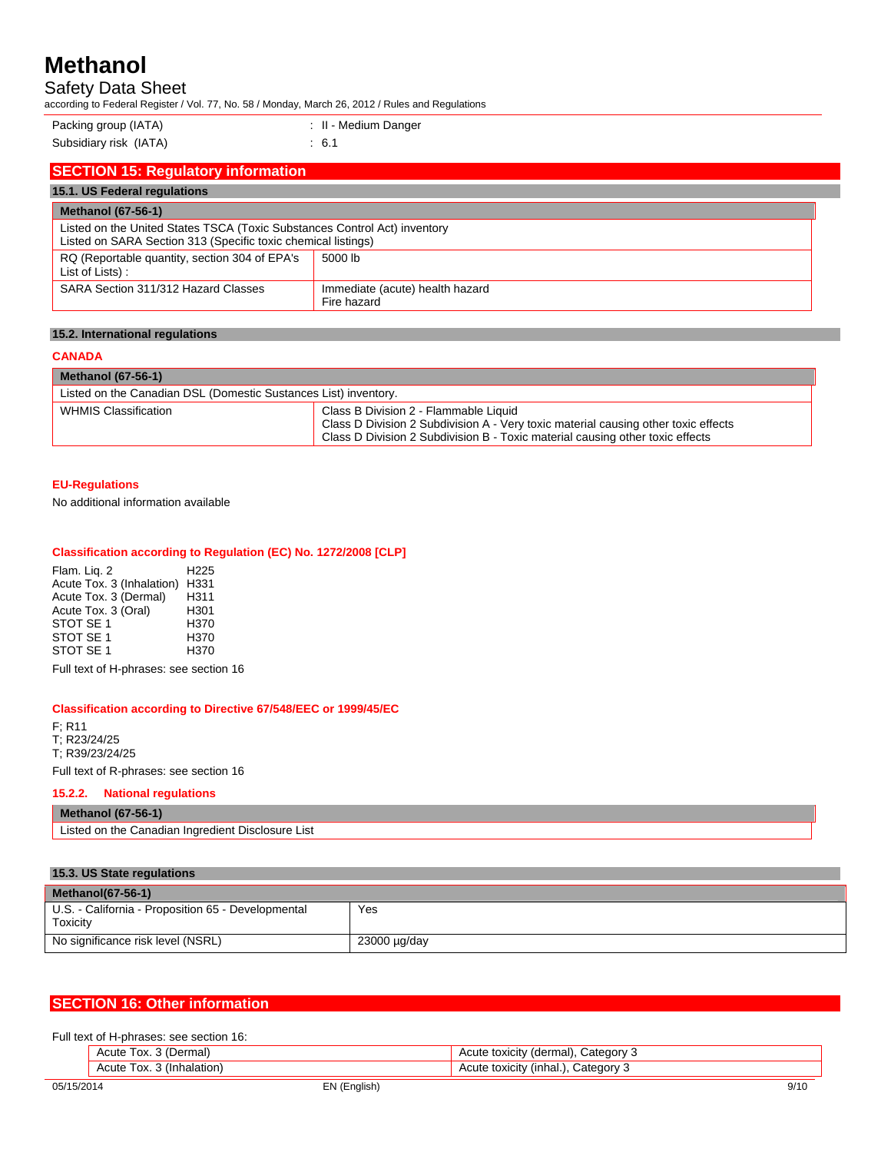Safety Data Sheet

according to Federal Register / Vol. 77, No. 58 / Monday, March 26, 2012 / Rules and Regulations

| Packing group (IATA) |  |
|----------------------|--|
|----------------------|--|

Packing (Packing the UATA) : II - Medium Danger

Subsidiary risk (IATA) : 6.1

| <b>SECTION 15: Regulatory information</b>                                                                                                  |                                                |  |
|--------------------------------------------------------------------------------------------------------------------------------------------|------------------------------------------------|--|
| 15.1. US Federal regulations                                                                                                               |                                                |  |
| <b>Methanol (67-56-1)</b>                                                                                                                  |                                                |  |
| Listed on the United States TSCA (Toxic Substances Control Act) inventory<br>Listed on SARA Section 313 (Specific toxic chemical listings) |                                                |  |
| RQ (Reportable quantity, section 304 of EPA's<br>List of Lists):                                                                           | 5000 lb                                        |  |
| SARA Section 311/312 Hazard Classes                                                                                                        | Immediate (acute) health hazard<br>Fire hazard |  |

## **15.2. International regulations**

## **CANADA**

## **Methanol (67-56-1)**

| 11.911.911.91.91.99.1                                           |                                                                                                                                                                                                              |  |
|-----------------------------------------------------------------|--------------------------------------------------------------------------------------------------------------------------------------------------------------------------------------------------------------|--|
| Listed on the Canadian DSL (Domestic Sustances List) inventory. |                                                                                                                                                                                                              |  |
| <b>WHMIS Classification</b>                                     | Class B Division 2 - Flammable Liquid<br>Class D Division 2 Subdivision A - Very toxic material causing other toxic effects<br>Class D Division 2 Subdivision B - Toxic material causing other toxic effects |  |

## **EU-Regulations**

No additional information available

#### **Classification according to Regulation (EC) No. 1272/2008 [CLP]**

Flam. Liq. 2 H225 Acute Tox. 3 (Inhalation) H331<br>Acute Tox. 3 (Dermal) H311 Acute Tox. 3 (Dermal) H311<br>Acute Tox. 3 (Oral) H301 Acute Tox. 3 (Oral) H301<br>STOT SE 1 H370 STOT SE 1 STOT SE 1 H370<br>STOT SE 1 H370 STOT SE<sub>1</sub>

Full text of H-phrases: see section 16

#### **Classification according to Directive 67/548/EEC or 1999/45/EC**

F; R11 T; R23/24/25 T; R39/23/24/25

Full text of R-phrases: see section 16

## **15.2.2. National regulations**

**Methanol (67-56-1)**  Listed on the Canadian Ingredient Disclosure List

#### **15.3. US State regulations Methanol(67-56-1)**  U.S. - California - Proposition 65 - Developmental **Toxicity** Yes No significance risk level (NSRL) 23000 µg/day

## **SECTION 16: Other information**

| Full text of H-phrases: see section 16:                                  |  |  |  |
|--------------------------------------------------------------------------|--|--|--|
| Acute Tox. 3 (Dermal)<br>. Category 3<br>Acute toxicity (dermal),        |  |  |  |
| Tox. 3 (Inhalation)<br>Category 3<br>Acute toxicity<br>(inhal.)<br>Acute |  |  |  |